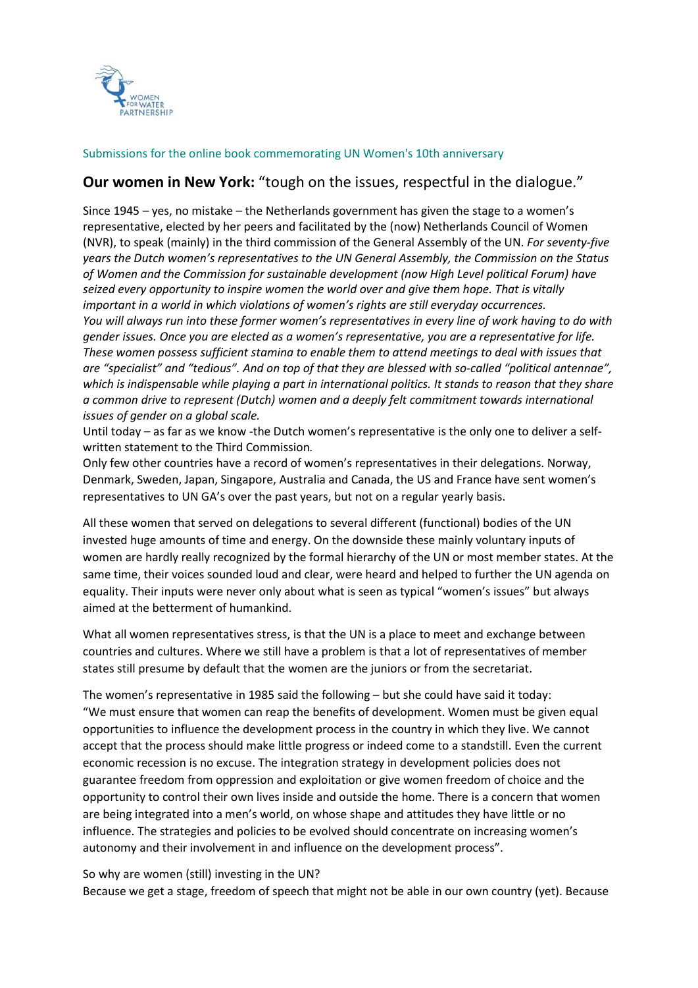

## Submissions for the online book commemorating UN Women's 10th anniversary

## **Our women in New York:** "tough on the issues, respectful in the dialogue."

Since 1945 – yes, no mistake – the Netherlands government has given the stage to a women's representative, elected by her peers and facilitated by the (now) Netherlands Council of Women (NVR), to speak (mainly) in the third commission of the General Assembly of the UN. *For seventy-five years the Dutch women's representatives to the UN General Assembly, the Commission on the Status of Women and the Commission for sustainable development (now High Level political Forum) have seized every opportunity to inspire women the world over and give them hope. That is vitally important in a world in which violations of women's rights are still everyday occurrences. You will always run into these former women's representatives in every line of work having to do with gender issues. Once you are elected as a women's representative, you are a representative for life. These women possess sufficient stamina to enable them to attend meetings to deal with issues that are "specialist" and "tedious". And on top of that they are blessed with so-called "political antennae", which is indispensable while playing a part in international politics. It stands to reason that they share a common drive to represent (Dutch) women and a deeply felt commitment towards international issues of gender on a global scale.*

Until today – as far as we know -the Dutch women's representative is the only one to deliver a selfwritten statement to the Third Commission*.*

Only few other countries have a record of women's representatives in their delegations. Norway, Denmark, Sweden, Japan, Singapore, Australia and Canada, the US and France have sent women's representatives to UN GA's over the past years, but not on a regular yearly basis.

All these women that served on delegations to several different (functional) bodies of the UN invested huge amounts of time and energy. On the downside these mainly voluntary inputs of women are hardly really recognized by the formal hierarchy of the UN or most member states. At the same time, their voices sounded loud and clear, were heard and helped to further the UN agenda on equality. Their inputs were never only about what is seen as typical "women's issues" but always aimed at the betterment of humankind.

What all women representatives stress, is that the UN is a place to meet and exchange between countries and cultures. Where we still have a problem is that a lot of representatives of member states still presume by default that the women are the juniors or from the secretariat.

The women's representative in 1985 said the following – but she could have said it today: "We must ensure that women can reap the benefits of development. Women must be given equal opportunities to influence the development process in the country in which they live. We cannot accept that the process should make little progress or indeed come to a standstill. Even the current economic recession is no excuse. The integration strategy in development policies does not guarantee freedom from oppression and exploitation or give women freedom of choice and the opportunity to control their own lives inside and outside the home. There is a concern that women are being integrated into a men's world, on whose shape and attitudes they have little or no influence. The strategies and policies to be evolved should concentrate on increasing women's autonomy and their involvement in and influence on the development process".

So why are women (still) investing in the UN?

Because we get a stage, freedom of speech that might not be able in our own country (yet). Because